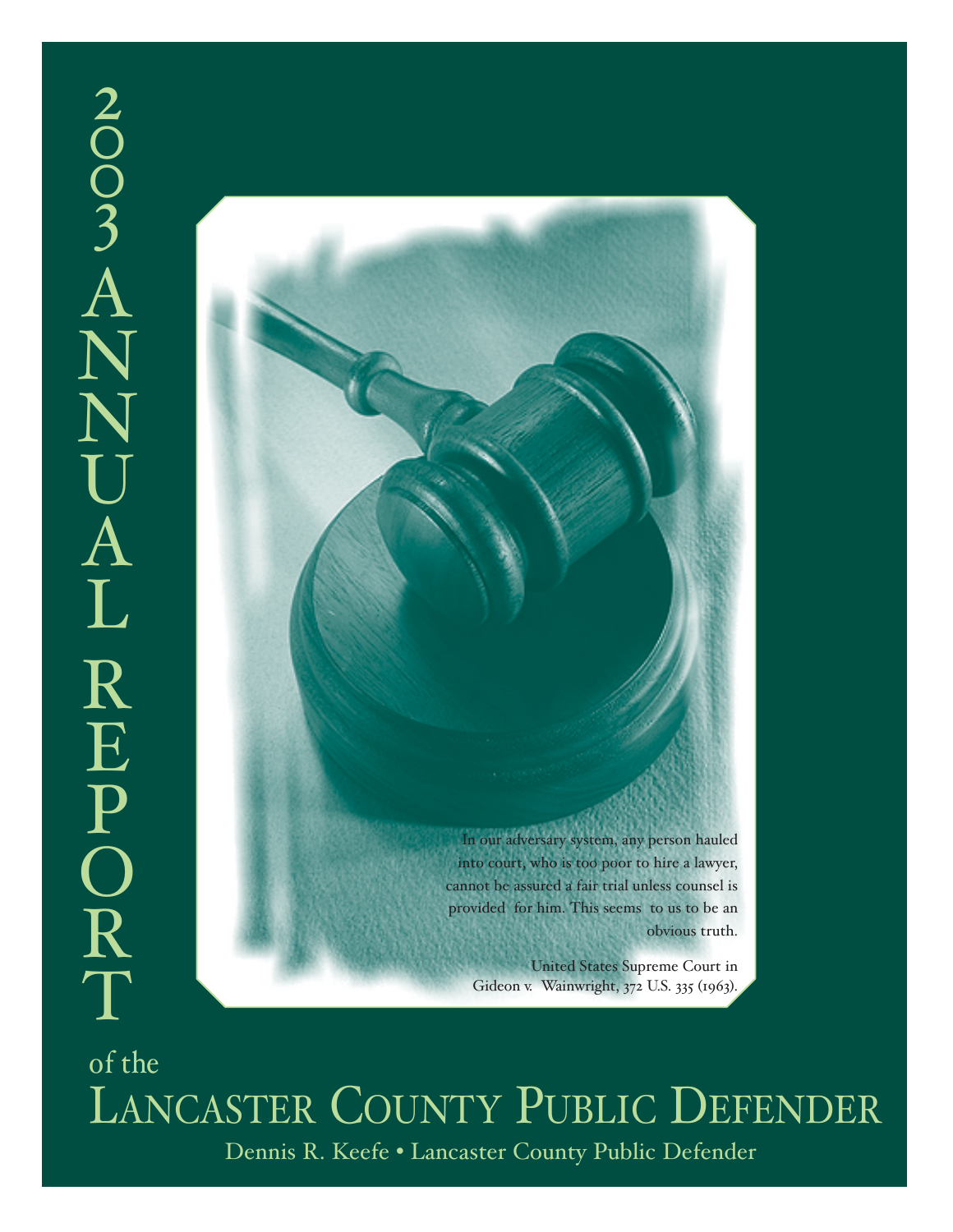# $\overline{2}$  $\tilde{O}$  $\breve{\mathrm{O}}$  $\frac{1}{3}$ A N  $\sum_{\mathbf{y}}$  $\bigcup$ A L R E P O R T



Dennis R. Keefe • Lancaster County Public Defender of the LANCASTER COUNTY PUBLIC DEFENDER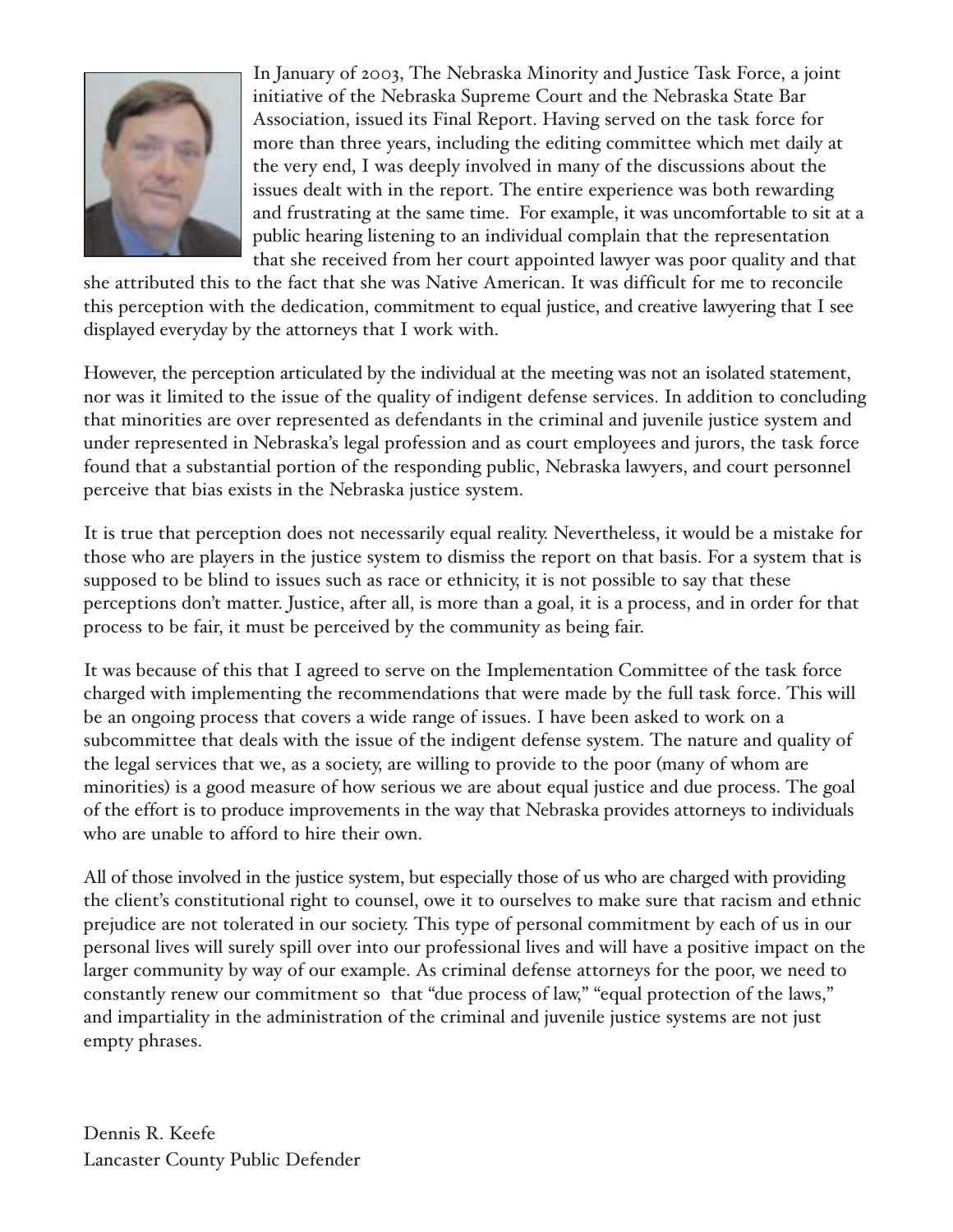

In January of 2003, The Nebraska Minority and Justice Task Force, a joint initiative of the Nebraska Supreme Court and the Nebraska State Bar Association, issued its Final Report. Having served on the task force for more than three years, including the editing committee which met daily at the very end, I was deeply involved in many of the discussions about the issues dealt with in the report. The entire experience was both rewarding and frustrating at the same time. For example, it was uncomfortable to sit at a public hearing listening to an individual complain that the representation that she received from her court appointed lawyer was poor quality and that

she attributed this to the fact that she was Native American. It was difficult for me to reconcile this perception with the dedication, commitment to equal justice, and creative lawyering that I see displayed everyday by the attorneys that I work with.

However, the perception articulated by the individual at the meeting was not an isolated statement, nor was it limited to the issue of the quality of indigent defense services. In addition to concluding that minorities are over represented as defendants in the criminal and juvenile justice system and under represented in Nebraska's legal profession and as court employees and jurors, the task force found that a substantial portion of the responding public, Nebraska lawyers, and court personnel perceive that bias exists in the Nebraska justice system.

It is true that perception does not necessarily equal reality. Nevertheless, it would be a mistake for those who are players in the justice system to dismiss the report on that basis. For a system that is supposed to be blind to issues such as race or ethnicity, it is not possible to say that these perceptions don't matter. Justice, after all, is more than a goal, it is a process, and in order for that process to be fair, it must be perceived by the community as being fair.

It was because of this that I agreed to serve on the Implementation Committee of the task force charged with implementing the recommendations that were made by the full task force. This will be an ongoing process that covers a wide range of issues. I have been asked to work on a subcommittee that deals with the issue of the indigent defense system. The nature and quality of the legal services that we, as a society, are willing to provide to the poor (many of whom are minorities) is a good measure of how serious we are about equal justice and due process. The goal of the effort is to produce improvements in the way that Nebraska provides attorneys to individuals who are unable to afford to hire their own.

All of those involved in the justice system, but especially those of us who are charged with providing the client's constitutional right to counsel, owe it to ourselves to make sure that racism and ethnic prejudice are not tolerated in our society. This type of personal commitment by each of us in our personal lives will surely spill over into our professional lives and will have a positive impact on the larger community by way of our example. As criminal defense attorneys for the poor, we need to constantly renew our commitment so that "due process of law," "equal protection of the laws," and impartiality in the administration of the criminal and juvenile justice systems are not just empty phrases.

Dennis R. Keefe Lancaster County Public Defender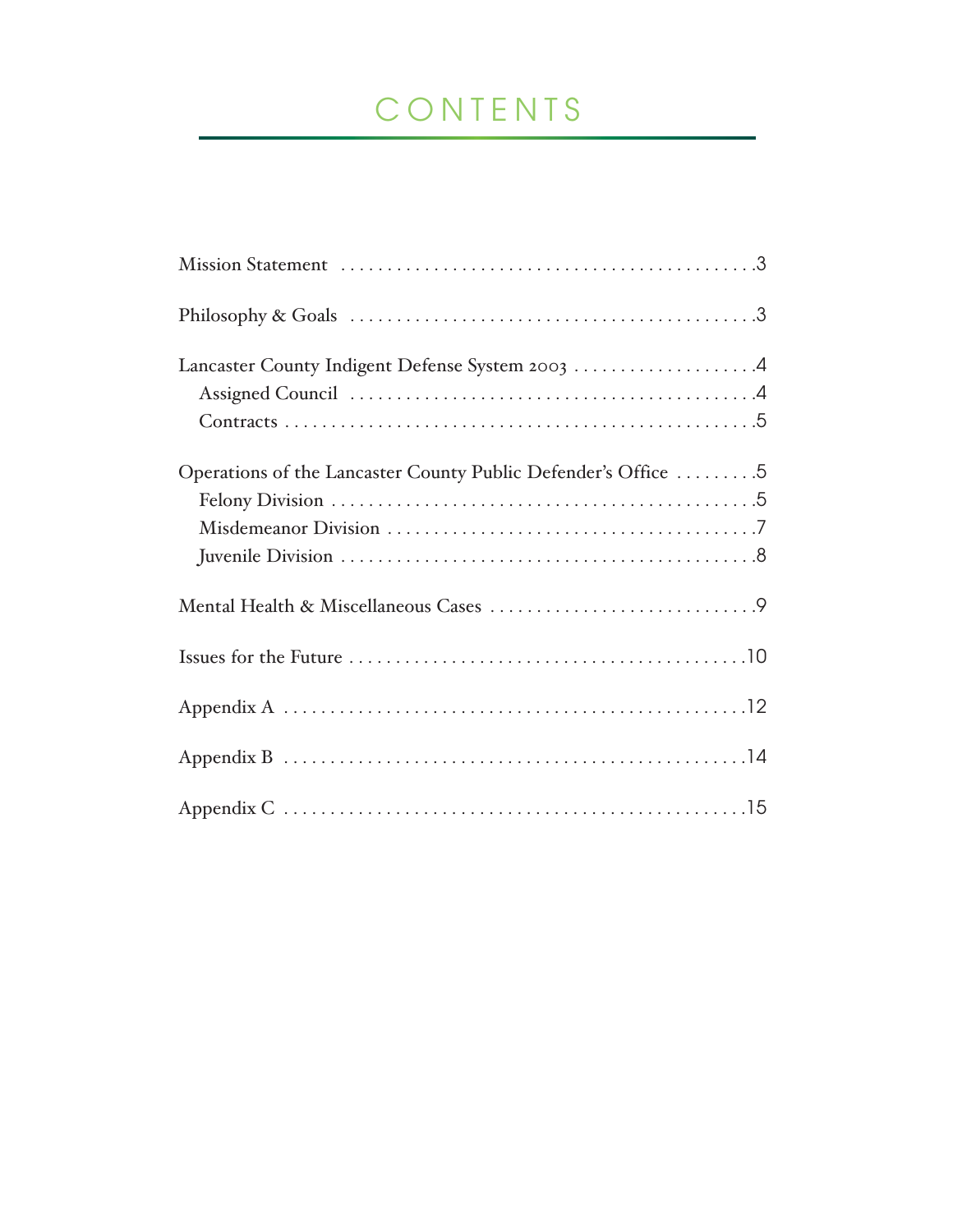# CONTENTS

| Philosophy & Goals $\dots \dots \dots \dots \dots \dots \dots \dots \dots \dots \dots \dots$ |
|----------------------------------------------------------------------------------------------|
| Lancaster County Indigent Defense System 2003 4                                              |
| Operations of the Lancaster County Public Defender's Office  5                               |
|                                                                                              |
|                                                                                              |
|                                                                                              |
|                                                                                              |
|                                                                                              |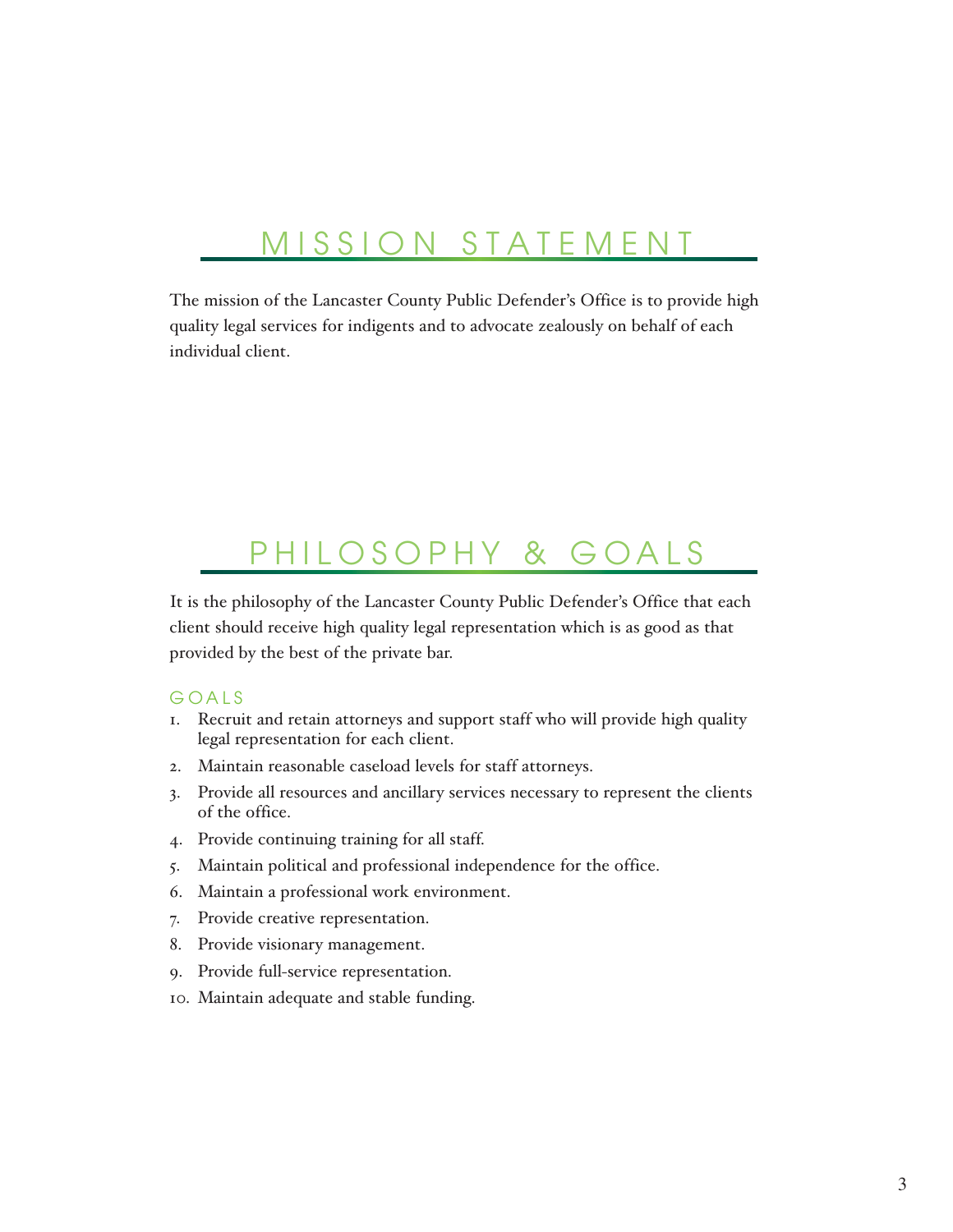### MISSION STATEMENT

The mission of the Lancaster County Public Defender's Office is to provide high quality legal services for indigents and to advocate zealously on behalf of each individual client.

### PHILOSOPHY & GOALS

It is the philosophy of the Lancaster County Public Defender's Office that each client should receive high quality legal representation which is as good as that provided by the best of the private bar.

### GOALS

- 1. Recruit and retain attorneys and support staff who will provide high quality legal representation for each client.
- 2. Maintain reasonable caseload levels for staff attorneys.
- 3. Provide all resources and ancillary services necessary to represent the clients of the office.
- 4. Provide continuing training for all staff.
- 5. Maintain political and professional independence for the office.
- 6. Maintain a professional work environment.
- 7. Provide creative representation.
- 8. Provide visionary management.
- 9. Provide full-service representation.
- 10. Maintain adequate and stable funding.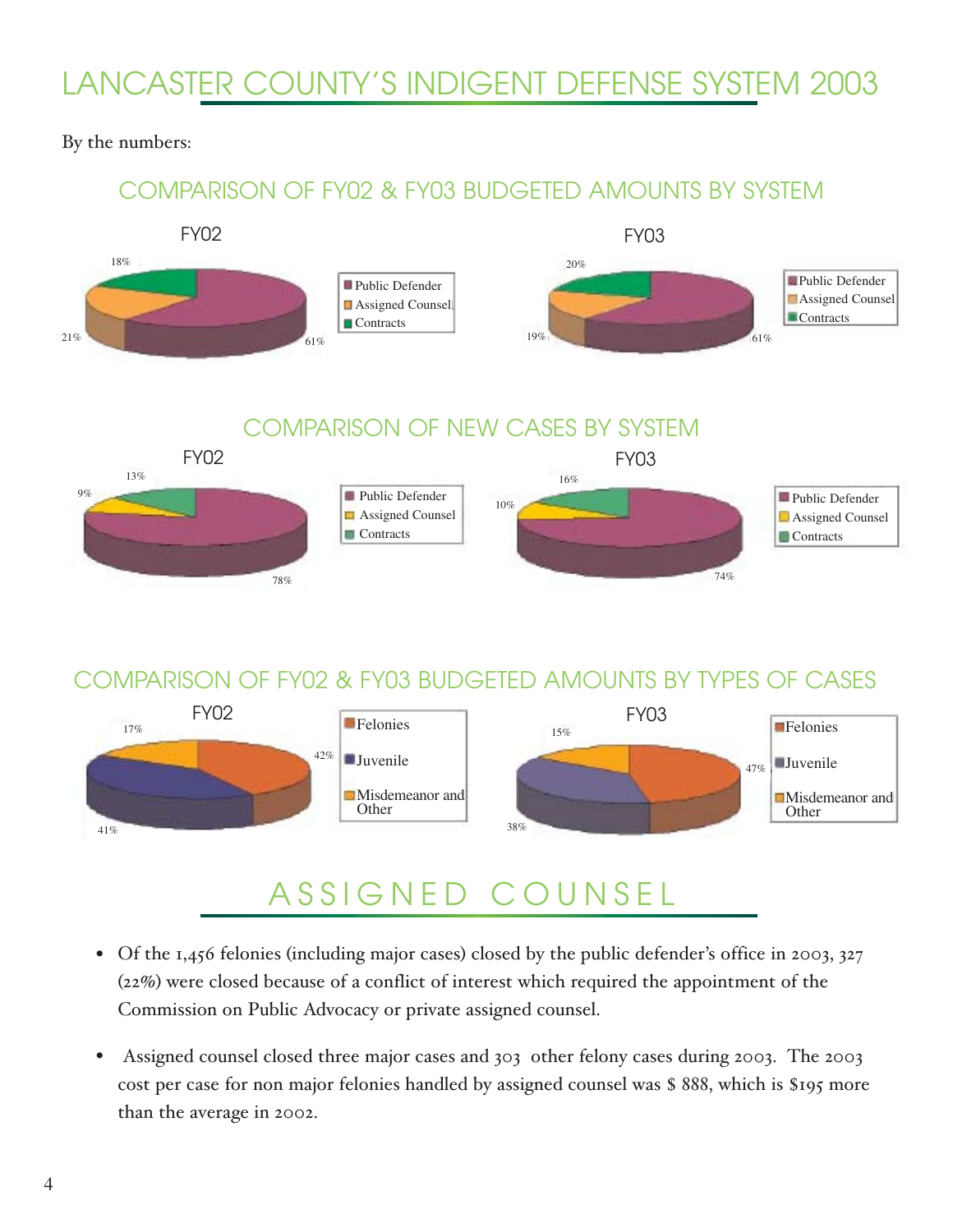# LANCASTER COUNTY'S INDIGENT DEFENSE SYSTEM 2003

### By the numbers:

### COMPARISON OF FY02 & FY03 BUDGETED AMOUNTS BY SYSTEM



### COMPARISON OF FY02 & FY03 BUDGETED AMOUNTS BY TYPES OF CASES

78%

74%



# ASSIGNED COUNSEL

- Of the 1,456 felonies (including major cases) closed by the public defender's office in 2003, 327 (22%) were closed because of a conflict of interest which required the appointment of the Commission on Public Advocacy or private assigned counsel.
- Assigned counsel closed three major cases and 303 other felony cases during 2003. The 2003 cost per case for non major felonies handled by assigned counsel was \$ 888, which is \$195 more than the average in 2002. •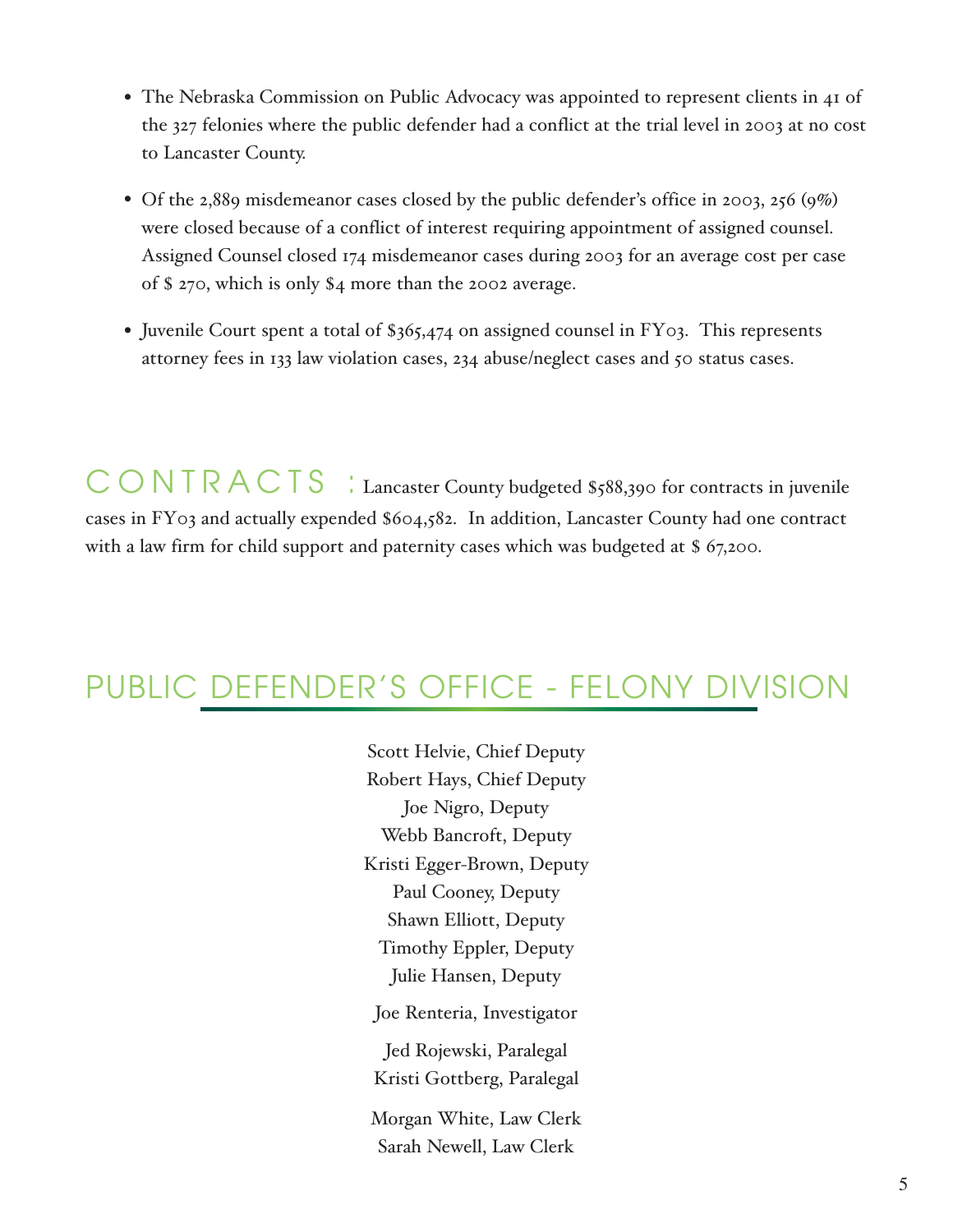- The Nebraska Commission on Public Advocacy was appointed to represent clients in 41 of the 327 felonies where the public defender had a conflict at the trial level in 2003 at no cost to Lancaster County.
- Of the 2,889 misdemeanor cases closed by the public defender's office in 2003, 256 (9%) were closed because of a conflict of interest requiring appointment of assigned counsel. Assigned Counsel closed 174 misdemeanor cases during 2003 for an average cost per case of \$ 270, which is only \$4 more than the 2002 average.
- Juvenile Court spent a total of \$365,474 on assigned counsel in FY03. This represents attorney fees in 133 law violation cases, 234 abuse/neglect cases and 50 status cases.

CONTRACTS : Lancaster County budgeted \$588,390 for contracts in juvenile cases in FY03 and actually expended \$604,582. In addition, Lancaster County had one contract with a law firm for child support and paternity cases which was budgeted at \$ 67,200.

# PUBLIC DEFENDER'S OFFICE - FELONY DIVISION

Scott Helvie, Chief Deputy Robert Hays, Chief Deputy Joe Nigro, Deputy Webb Bancroft, Deputy Kristi Egger-Brown, Deputy Paul Cooney, Deputy Shawn Elliott, Deputy Timothy Eppler, Deputy Julie Hansen, Deputy Joe Renteria, Investigator Jed Rojewski, Paralegal Kristi Gottberg, Paralegal Morgan White, Law Clerk

Sarah Newell, Law Clerk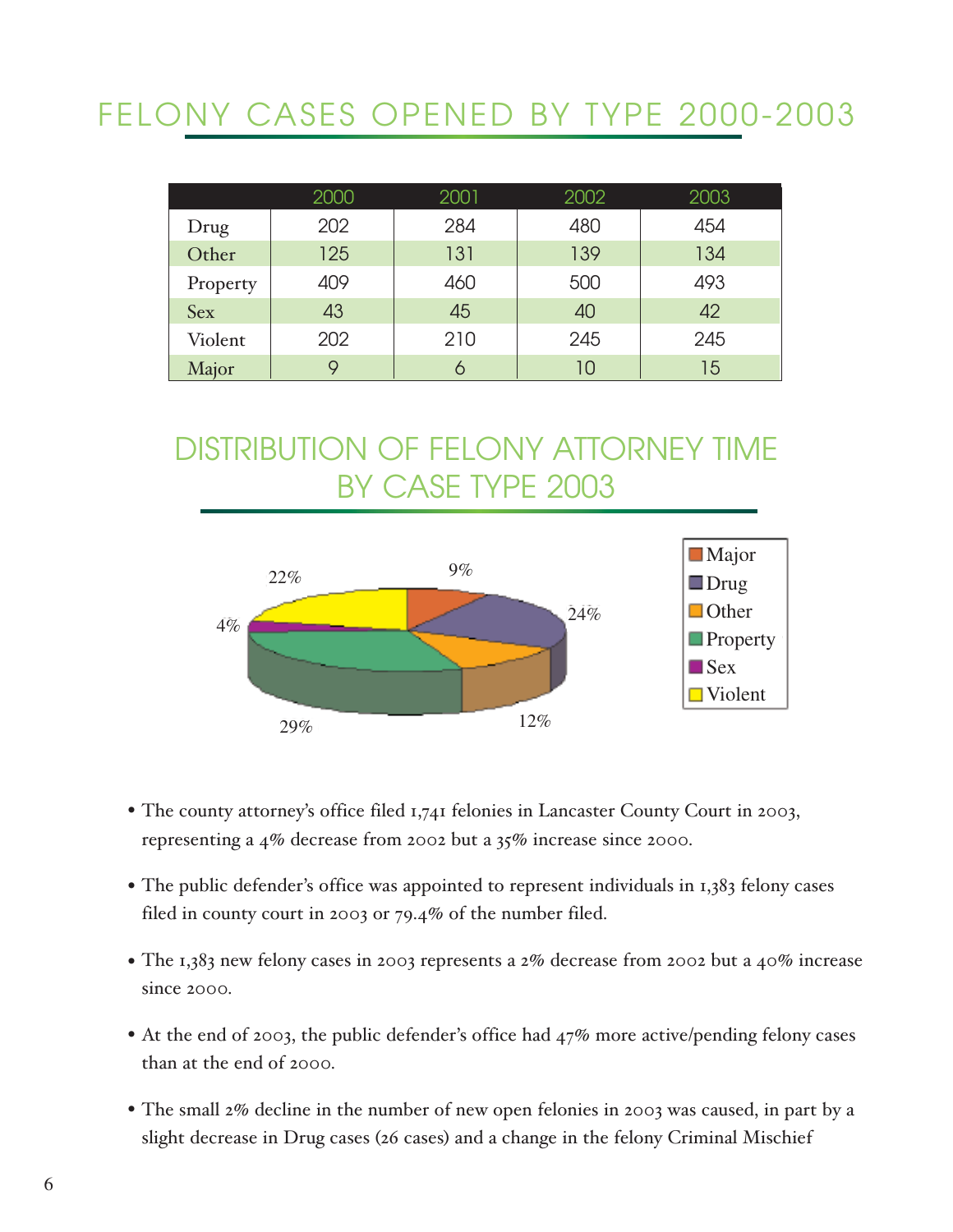# FELONY CASES OPENED BY TYPE 2000-2003

|            | 2000 | 2001 | 2002 | 2003 |
|------------|------|------|------|------|
| Drug       | 202  | 284  | 480  | 454  |
| Other      | 125  | 131  | 139  | 134  |
| Property   | 409  | 460  | 500  | 493  |
| <b>Sex</b> | 43   | 45   | 40   | 42   |
| Violent    | 202  | 210  | 245  | 245  |
| Major      | 9    |      | 10   | 15   |

# DISTRIBUTION OF FELONY ATTORNEY TIME BY CASE TYPE 2003



- The county attorney's office filed 1,741 felonies in Lancaster County Court in 2003, representing a 4% decrease from 2002 but a 35% increase since 2000.
- The public defender's office was appointed to represent individuals in 1,383 felony cases filed in county court in 2003 or 79.4% of the number filed.
- The 1,383 new felony cases in 2003 represents a 2% decrease from 2002 but a 40% increase since 2000.
- At the end of 2003, the public defender's office had 47% more active/pending felony cases than at the end of 2000.
- The small 2% decline in the number of new open felonies in 2003 was caused, in part by a slight decrease in Drug cases (26 cases) and a change in the felony Criminal Mischief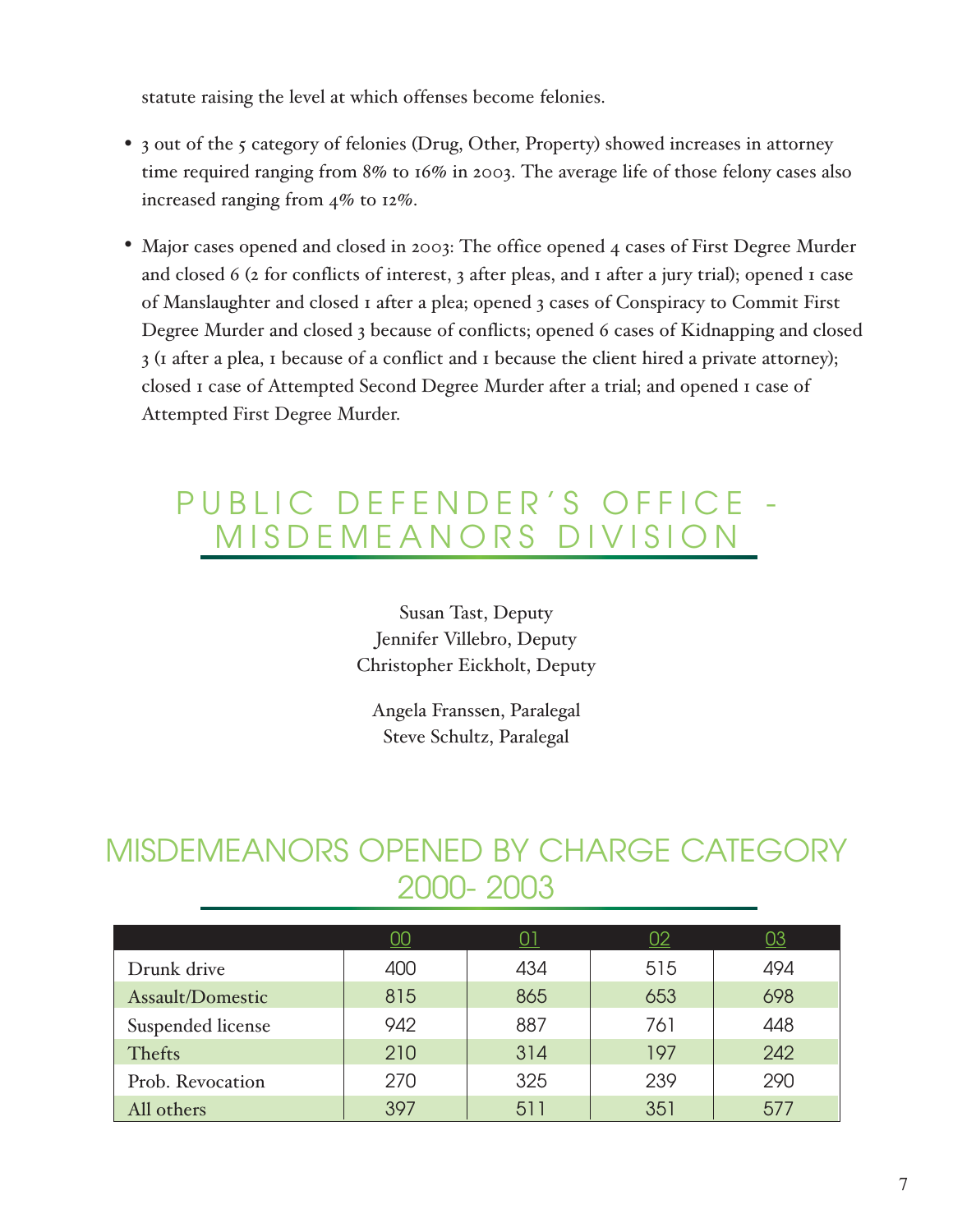statute raising the level at which offenses become felonies.

- 3 out of the 5 category of felonies (Drug, Other, Property) showed increases in attorney time required ranging from 8% to 16% in 2003. The average life of those felony cases also increased ranging from 4% to 12%.
- Major cases opened and closed in 2003: The office opened 4 cases of First Degree Murder and closed 6 (2 for conflicts of interest, 3 after pleas, and 1 after a jury trial); opened 1 case of Manslaughter and closed 1 after a plea; opened 3 cases of Conspiracy to Commit First Degree Murder and closed 3 because of conflicts; opened 6 cases of Kidnapping and closed 3 (1 after a plea, 1 because of a conflict and 1 because the client hired a private attorney); closed 1 case of Attempted Second Degree Murder after a trial; and opened 1 case of Attempted First Degree Murder.

# PUBLIC DEFENDER'S OFFICE - MISDEMEANORS DIVISION

Susan Tast, Deputy Jennifer Villebro, Deputy Christopher Eickholt, Deputy

Angela Franssen, Paralegal Steve Schultz, Paralegal

# MISDEMEANORS OPENED BY CHARGE CATEGORY 2000- 2003

|                   | UU  | 01  | 02  | <u>03</u> |
|-------------------|-----|-----|-----|-----------|
| Drunk drive       | 400 | 434 | 515 | 494       |
| Assault/Domestic  | 815 | 865 | 653 | 698       |
| Suspended license | 942 | 887 | 761 | 448       |
| Thefts            | 210 | 314 | 197 | 242       |
| Prob. Revocation  | 270 | 325 | 239 | 290       |
| All others        | 397 | 511 | 351 | 577       |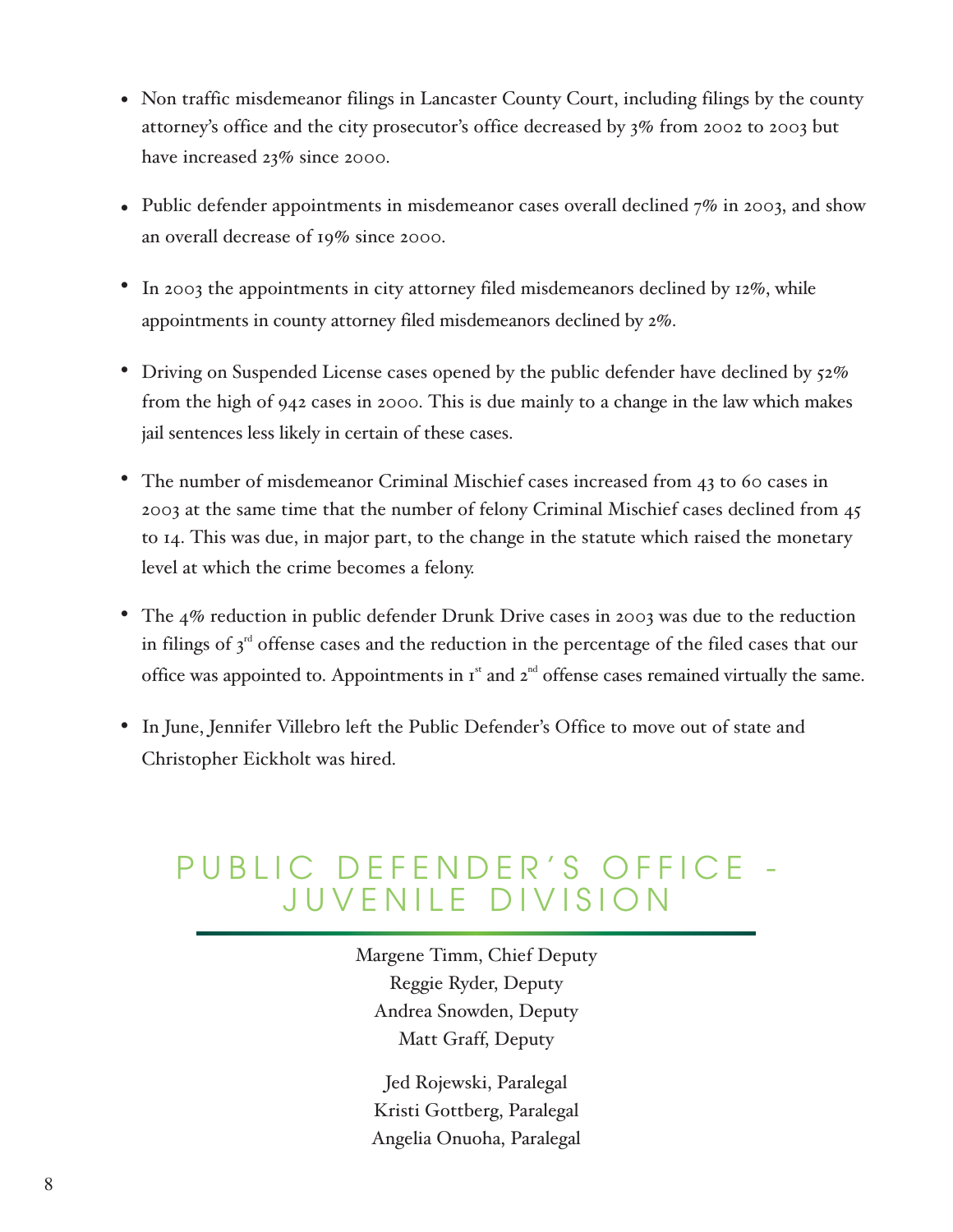- Non traffic misdemeanor filings in Lancaster County Court, including filings by the county attorney's office and the city prosecutor's office decreased by 3% from 2002 to 2003 but have increased 23% since 2000.
- Public defender appointments in misdemeanor cases overall declined  $7\%$  in 2003, and show an overall decrease of 19% since 2000.
- In 2003 the appointments in city attorney filed misdemeanors declined by 12%, while appointments in county attorney filed misdemeanors declined by 2%.
- Driving on Suspended License cases opened by the public defender have declined by 52% from the high of 942 cases in 2000. This is due mainly to a change in the law which makes jail sentences less likely in certain of these cases.
- The number of misdemeanor Criminal Mischief cases increased from 43 to 60 cases in 2003 at the same time that the number of felony Criminal Mischief cases declined from 45 to 14. This was due, in major part, to the change in the statute which raised the monetary level at which the crime becomes a felony. •
- The 4% reduction in public defender Drunk Drive cases in 2003 was due to the reduction in filings of  $3<sup>rd</sup>$  offense cases and the reduction in the percentage of the filed cases that our office was appointed to. Appointments in  $I<sup>st</sup>$  and  $2<sup>nd</sup>$  offense cases remained virtually the same. •
- In June, Jennifer Villebro left the Public Defender's Office to move out of state and Christopher Eickholt was hired.

# PUBLIC DEFENDER'S OFFICE - JUVENILE DIVISION

Margene Timm, Chief Deputy Reggie Ryder, Deputy Andrea Snowden, Deputy Matt Graff, Deputy

Jed Rojewski, Paralegal Kristi Gottberg, Paralegal Angelia Onuoha, Paralegal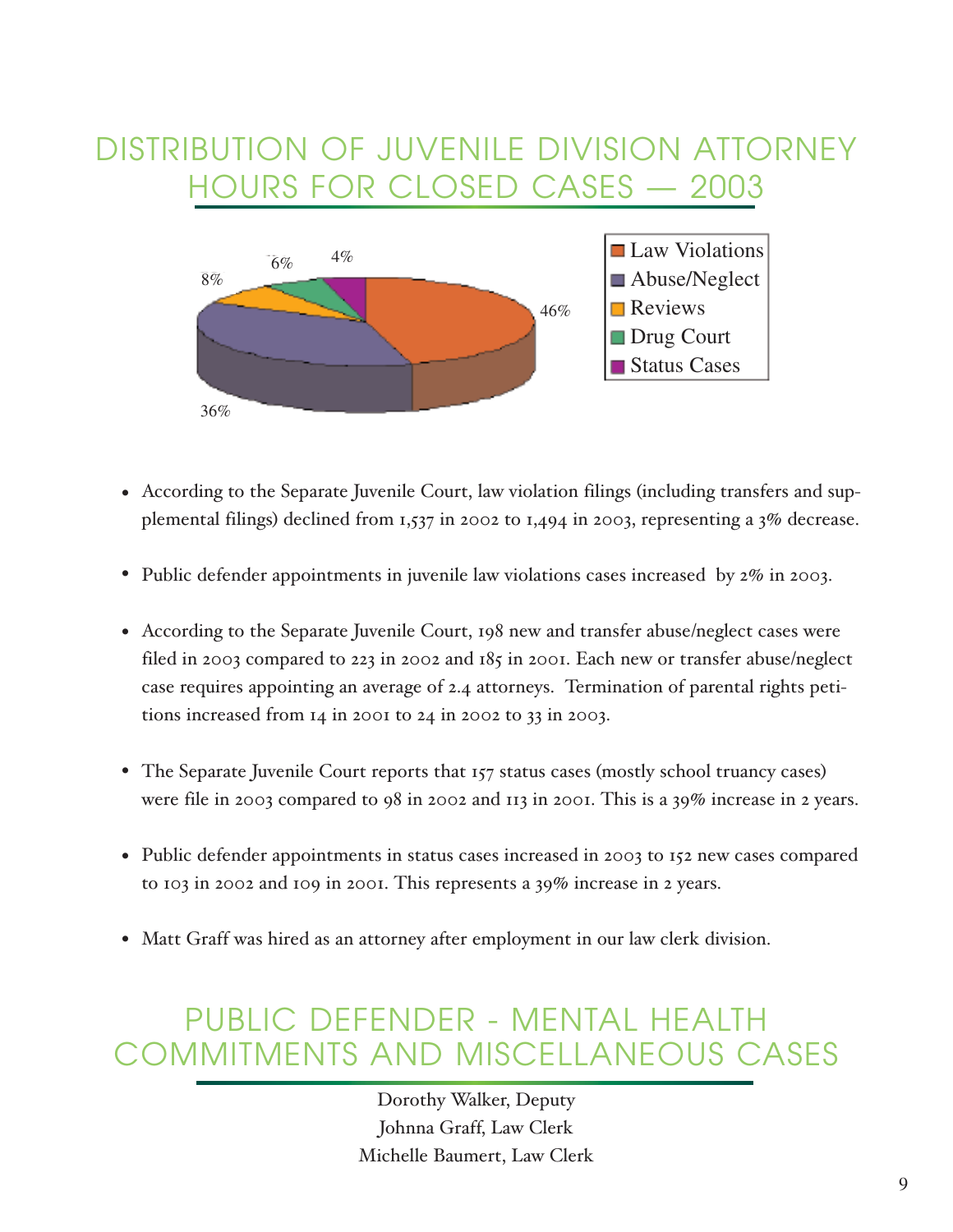# DISTRIBUTION OF JUVENILE DIVISION ATTORNEY HOURS FOR CLOSED CASES — 2003



- According to the Separate Juvenile Court, law violation filings (including transfers and sup-• plemental filings) declined from 1,537 in 2002 to 1,494 in 2003, representing a 3% decrease.
- Public defender appointments in juvenile law violations cases increased by 2% in 2003.
- According to the Separate Juvenile Court, 198 new and transfer abuse/neglect cases were filed in 2003 compared to 223 in 2002 and 185 in 2001. Each new or transfer abuse/neglect case requires appointing an average of 2.4 attorneys. Termination of parental rights petitions increased from 14 in 2001 to 24 in 2002 to 33 in 2003.
- The Separate Juvenile Court reports that 157 status cases (mostly school truancy cases) were file in 2003 compared to 98 in 2002 and 113 in 2001. This is a 39% increase in 2 years.
- Public defender appointments in status cases increased in 2003 to 152 new cases compared to 103 in 2002 and 109 in 2001. This represents a 39% increase in 2 years.
- Matt Graff was hired as an attorney after employment in our law clerk division. •

# PUBLIC DEFENDER - MENTAL HEALTH COMMITMENTS AND MISCELLANEOUS CASES

Dorothy Walker, Deputy Johnna Graff, Law Clerk Michelle Baumert, Law Clerk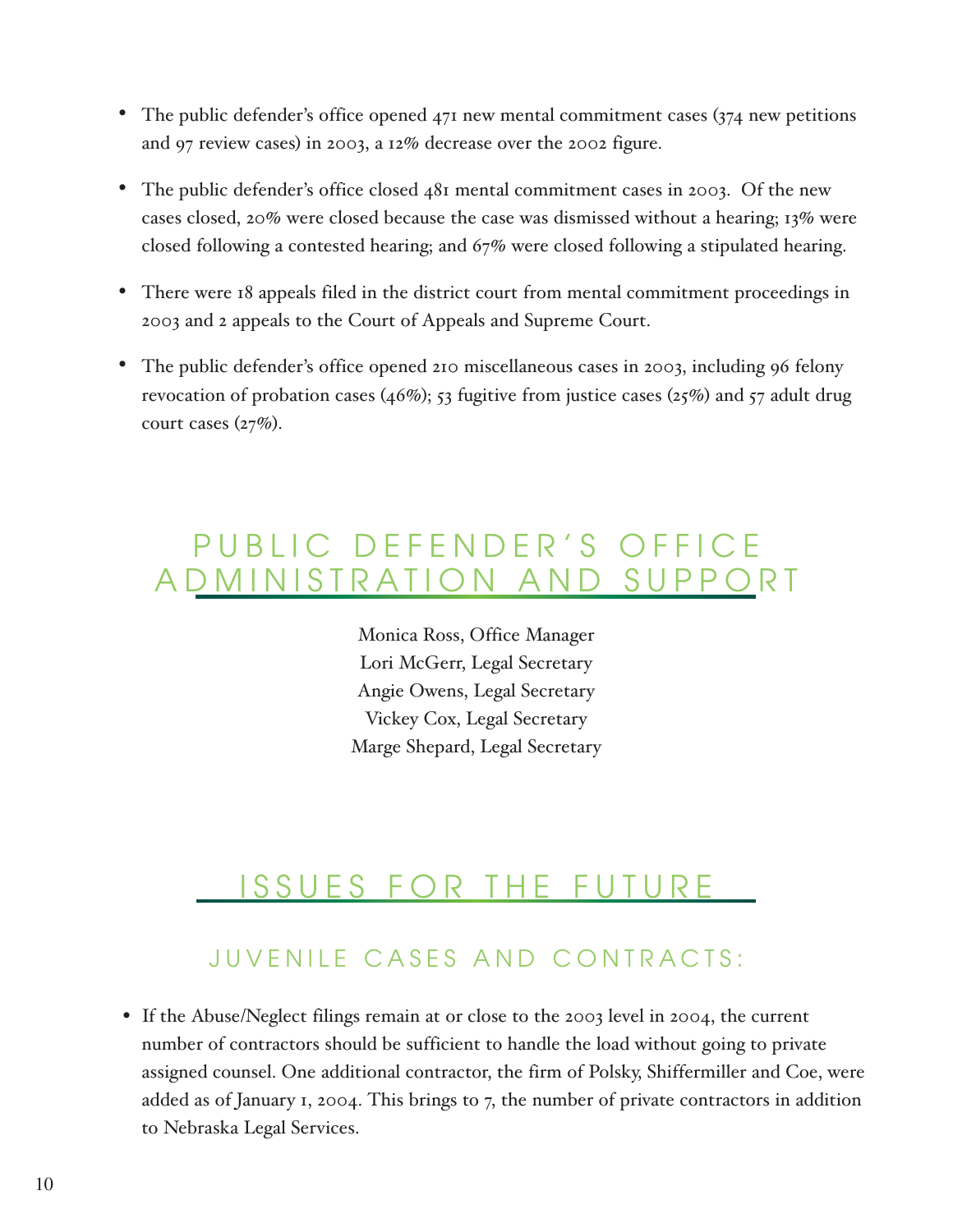- The public defender's office opened 471 new mental commitment cases (374 new petitions and 97 review cases) in 2003, a 12% decrease over the 2002 figure.
- The public defender's office closed 481 mental commitment cases in 2003. Of the new cases closed, 20% were closed because the case was dismissed without a hearing; 13% were closed following a contested hearing; and 67% were closed following a stipulated hearing.
- There were 18 appeals filed in the district court from mental commitment proceedings in 2003 and 2 appeals to the Court of Appeals and Supreme Court.
- The public defender's office opened 210 miscellaneous cases in 2003, including 96 felony revocation of probation cases (46%); 53 fugitive from justice cases (25%) and 57 adult drug court cases  $(27%)$ . •

# PUBLIC DEFENDER'S OFFICE ADMINISTRATION AND SUPPORT

Monica Ross, Office Manager Lori McGerr, Legal Secretary Angie Owens, Legal Secretary Vickey Cox, Legal Secretary Marge Shepard, Legal Secretary

# SSUES FOR THE FUTURE

### JUVENILE CASES AND CONTRACTS:

• If the Abuse/Neglect filings remain at or close to the 2003 level in 2004, the current number of contractors should be sufficient to handle the load without going to private assigned counsel. One additional contractor, the firm of Polsky, Shiffermiller and Coe, were added as of January 1, 2004. This brings to 7, the number of private contractors in addition to Nebraska Legal Services.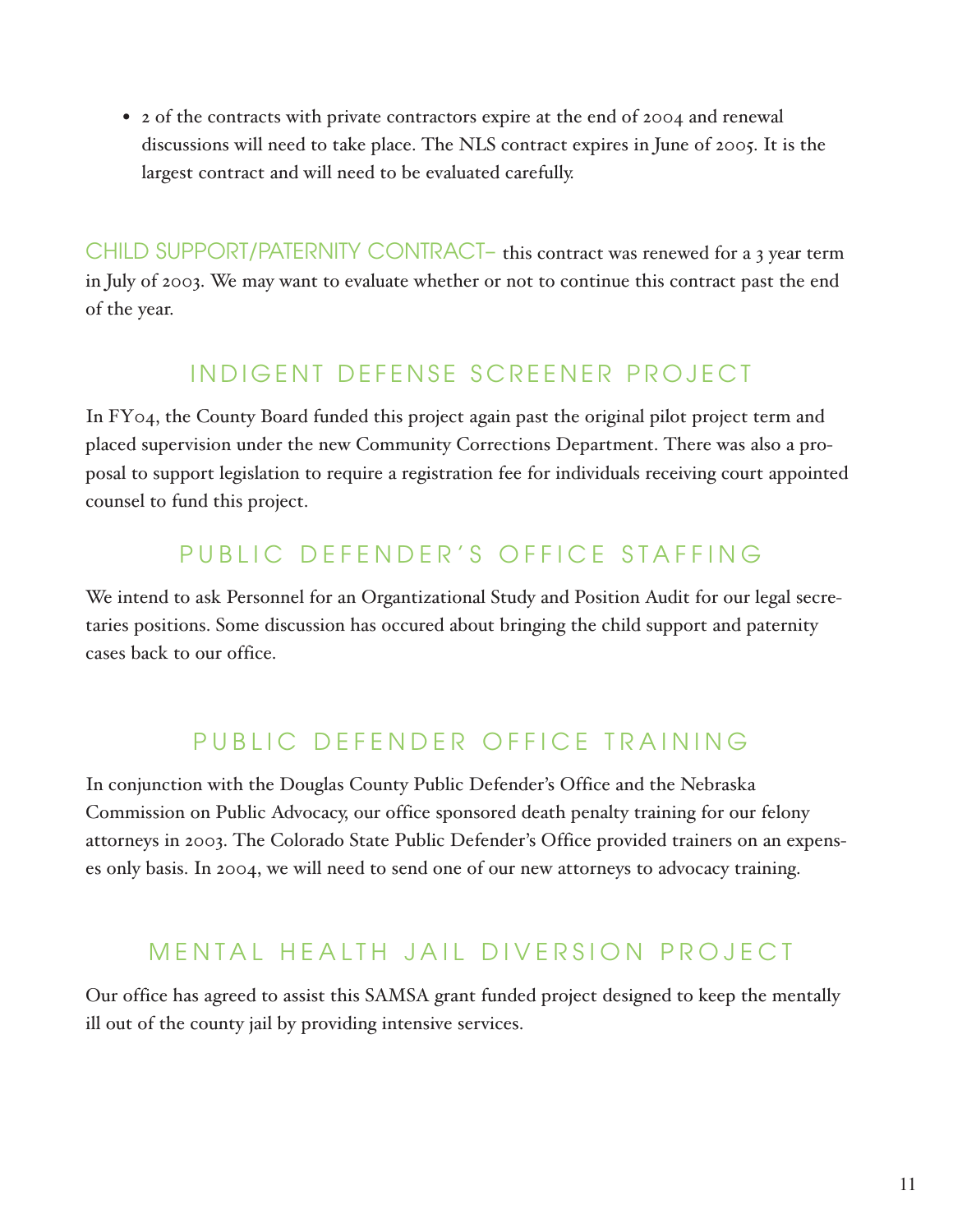• 2 of the contracts with private contractors expire at the end of 2004 and renewal discussions will need to take place. The NLS contract expires in June of 2005. It is the largest contract and will need to be evaluated carefully.

CHILD SUPPORT/PATERNITY CONTRACT– this contract was renewed for a 3 year term in July of 2003. We may want to evaluate whether or not to continue this contract past the end of the year.

### INDIGENT DEFENSE SCREENER PROJECT

In FY04, the County Board funded this project again past the original pilot project term and placed supervision under the new Community Corrections Department. There was also a proposal to support legislation to require a registration fee for individuals receiving court appointed counsel to fund this project.

### PUBLIC DEFENDER'S OFFICE STAFFING

We intend to ask Personnel for an Organtizational Study and Position Audit for our legal secretaries positions. Some discussion has occured about bringing the child support and paternity cases back to our office.

### PUBLIC DEFENDER OFFICE TRAINING

In conjunction with the Douglas County Public Defender's Office and the Nebraska Commission on Public Advocacy, our office sponsored death penalty training for our felony attorneys in 2003. The Colorado State Public Defender's Office provided trainers on an expenses only basis. In 2004, we will need to send one of our new attorneys to advocacy training.

### MENTAL HEALTH JAIL DIVERSION PROJECT

Our office has agreed to assist this SAMSA grant funded project designed to keep the mentally ill out of the county jail by providing intensive services.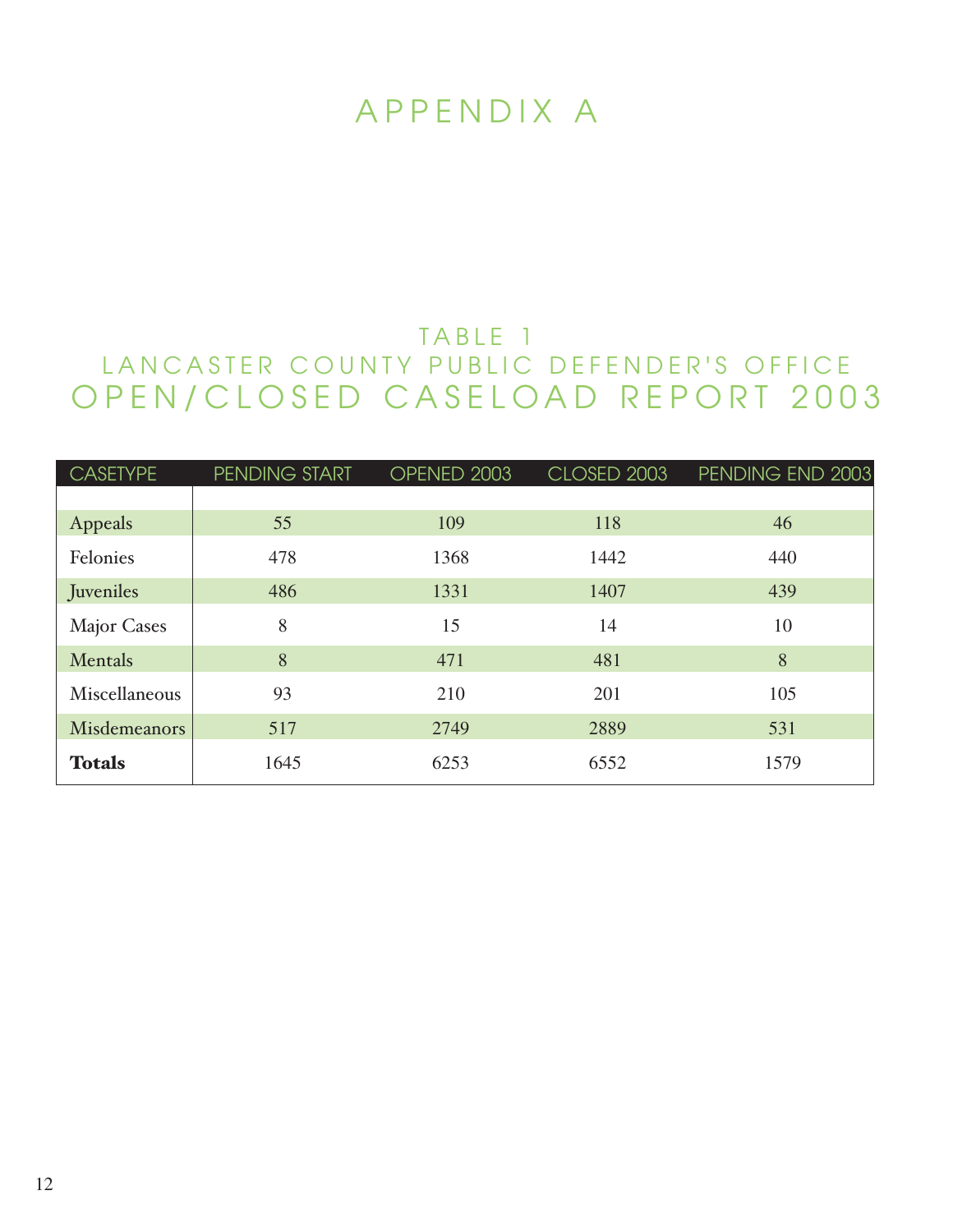# APPENDIX A

### TABLE 1 LANCASTER COUNTY PUBLIC DEFENDER'S OFFICE OPEN/CLOSED CASELOAD REPORT 2003

| <b>CASETYPE</b>     | PENDING START | OPENED 2003 | CLOSED 2003 | PENDING END 2003 |
|---------------------|---------------|-------------|-------------|------------------|
|                     |               |             |             |                  |
| Appeals             | 55            | 109         | 118         | 46               |
| Felonies            | 478           | 1368        | 1442        | 440              |
| Juveniles           | 486           | 1331        | 1407        | 439              |
| <b>Major Cases</b>  | 8             | 15          | 14          | 10               |
| Mentals             | 8             | 471         | 481         | 8                |
| Miscellaneous       | 93            | 210         | 201         | 105              |
| <b>Misdemeanors</b> | 517           | 2749        | 2889        | 531              |
| <b>Totals</b>       | 1645          | 6253        | 6552        | 1579             |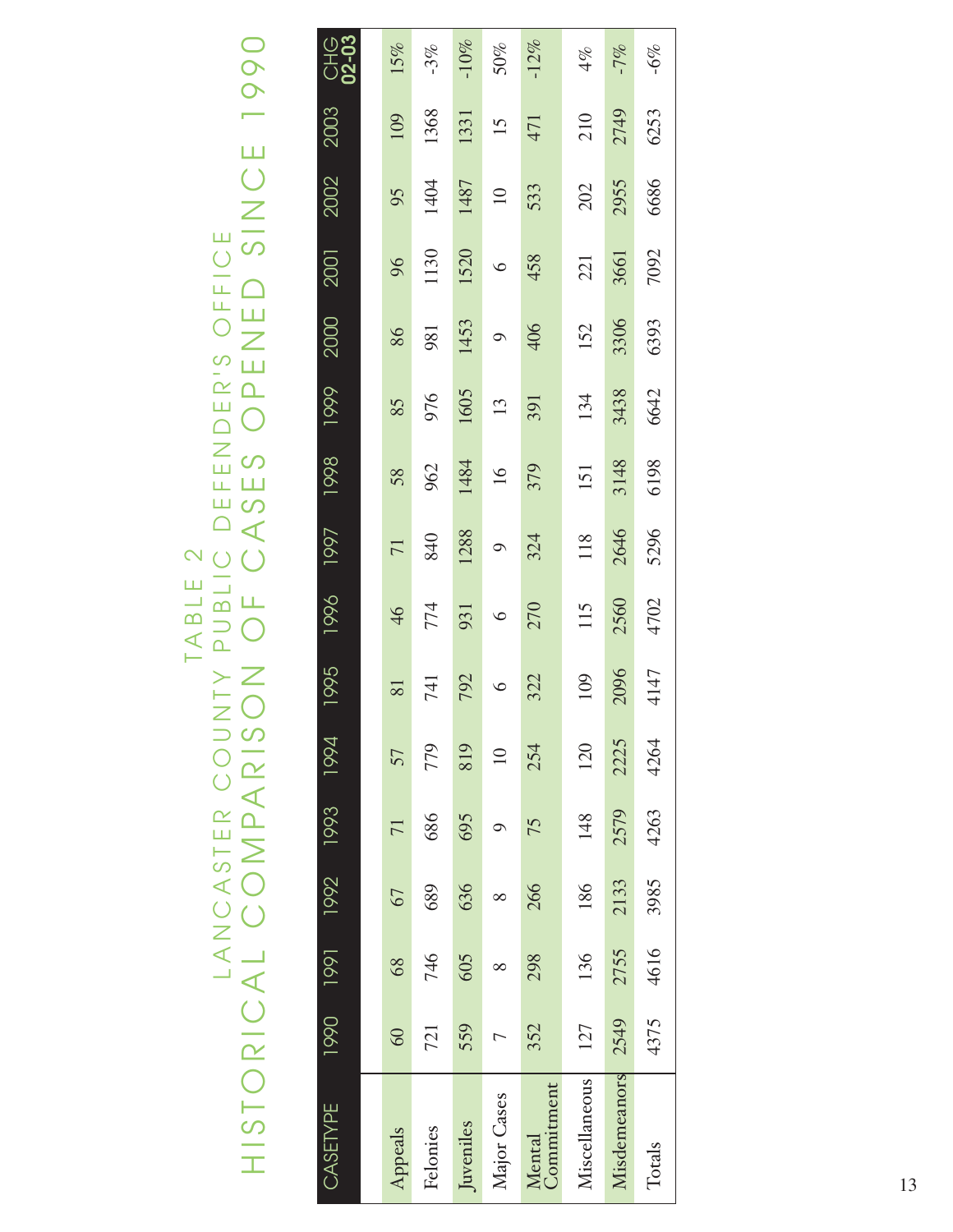# TANCASTER COUNTY PUBLIC DEFENDER'S OFFICE<br>HISTORICAL COMPARISON OF CASES OPENED SINCE 1990 HISTORICAL COMPARISON OF CASES OPENED SINCE 1990 LANCASTER COUNTY PUBLIC DEFENDER'S OFFICE TABLE 2

| CASETYPE             |                |      | 1990 1990 1991 1991 1994 |      |                 | 1995    | 1996    | 1997          | 1998 | 1999 | 2000    | 2001    | 2002     | 2003            | <b>CHG</b><br>02-03 |
|----------------------|----------------|------|--------------------------|------|-----------------|---------|---------|---------------|------|------|---------|---------|----------|-----------------|---------------------|
|                      |                |      |                          |      |                 |         |         |               |      |      |         |         |          |                 |                     |
| Appeals              | 60             | 68   | 67                       | 71   | 57              | 81      | 46      | 71            | 58   | 85   | 86      | 96      | 95       | 109             | 15%                 |
| Felonies             | 721            | 746  | 689                      | 686  | 779             | 741     | 774     | 840           | 962  | 976  | 981     | 1130    | 1404     | 1368            | $-3%$               |
| Juveniles            | 559            | 605  | 636                      | 695  | 819             | 792     | 931     | 1288          | 1484 | 1605 | 1453    | 1520    | 1487     | 1331            | $-10\%$             |
| Major Cases          | $\overline{C}$ |      |                          |      | $\overline{10}$ | $\circ$ | $\circ$ | $\mathcal{Q}$ | 16   | 13   | $\circ$ | $\circ$ | $\equiv$ | $\overline{15}$ | $50\%$              |
| Commitment<br>Mental | 352            | 298  | 266                      | 75   | 254             | 322     | 270     | 324           | 379  | 391  | 406     | 458     | 533      | 471             | $-12%$              |
| Miscellaneous        | 127            | 136  | 186                      | 148  | 120             | 109     | 115     | 118           | 151  | 134  | 152     | 221     | 202      | 210             | 4%                  |
| Misdemeanors         | 2549           | 2755 | 2133                     | 2579 | 2225            | 2096    | 2560    | 2646          | 3148 | 3438 | 3306    | 3661    | 2955     | 2749            | $-7%$               |
| Totals               | 4375           | 4616 | 3985                     | 4263 | 4264            | 4147    | 4702    | 5296          | 6198 | 6642 | 6393    | 7092    | 6686     | 6253            | $-6\%$              |
|                      |                |      |                          |      |                 |         |         |               |      |      |         |         |          |                 |                     |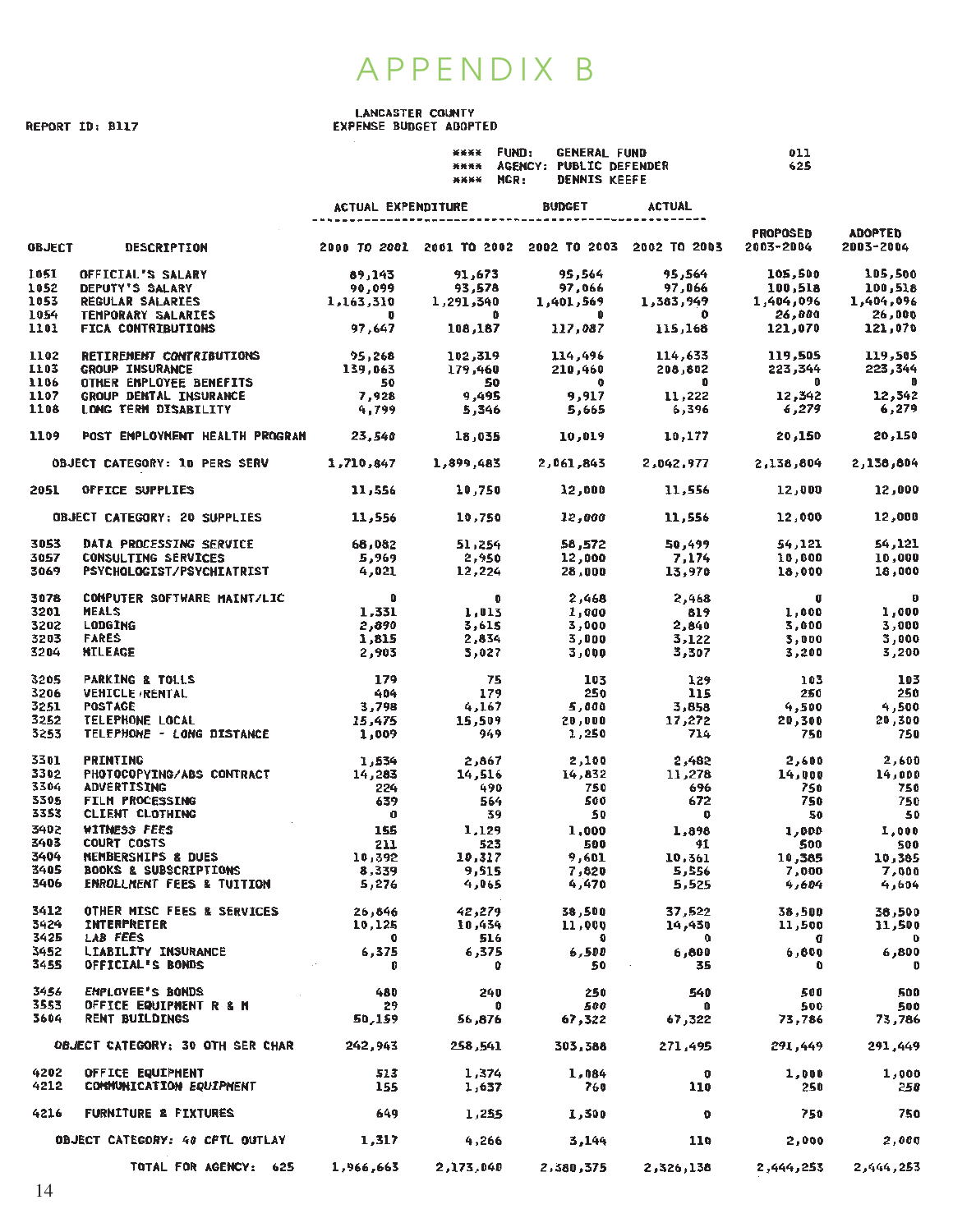### APPENDIX B

REPORT ID: B117

### LANCASTER COUNTY<br>EXPENSE BUDGET ADOPTED

|              |                                                                                                                                                                                                                                      |                                       | <b>XXXX FUND:</b><br>**** MGR: | <b>GENERAL FUND</b><br><b>DENNIS KEEFE</b> | <b>**** AGENCY: PUBLIC DEFENDER</b>                                                                                                                                                                                                                                          | 011<br>625        |                             |
|--------------|--------------------------------------------------------------------------------------------------------------------------------------------------------------------------------------------------------------------------------------|---------------------------------------|--------------------------------|--------------------------------------------|------------------------------------------------------------------------------------------------------------------------------------------------------------------------------------------------------------------------------------------------------------------------------|-------------------|-----------------------------|
|              |                                                                                                                                                                                                                                      |                                       |                                | ACTUAL EXPENDITURE BUDGET                  | ACTUAL                                                                                                                                                                                                                                                                       |                   |                             |
|              | <b>OBJECT DESCRIPTION</b>                                                                                                                                                                                                            |                                       |                                |                                            | 2000 TO 2001 2001 TO 2002 2002 TO 2003 2002 TO 2003 2003-2004                                                                                                                                                                                                                | PROPOSED          | <b>ADOPTED</b><br>2003-2004 |
| 1051         | OFFICIAL'S SALARY                                                                                                                                                                                                                    | 89,143                                |                                | 91,673 95,564                              | 95,564                                                                                                                                                                                                                                                                       | 105,500           | 105,500                     |
| 1052         | <b>DEPUTY'S SALARY</b>                                                                                                                                                                                                               |                                       |                                |                                            |                                                                                                                                                                                                                                                                              |                   |                             |
| 1053         | <b>REGULAR SALARIES</b>                                                                                                                                                                                                              |                                       |                                |                                            |                                                                                                                                                                                                                                                                              |                   |                             |
| 1054<br>1101 | <b>TEMPORARY SALARIES</b><br><b>FICA CONTRIBUTIONS</b>                                                                                                                                                                               |                                       |                                |                                            | $1,163,310$<br>$90,099$<br>$1,291,340$<br>$0,095$<br>$0,099$<br>$0,099$<br>$0,099$<br>$0,099$<br>$0,099$<br>$0,099$<br>$0,099$<br>$0,099$<br>$0,099$<br>$0,099$<br>$0,099$<br>$0,096$<br>$0,096$<br>$0,096$<br>$0,096$<br>$0,096$<br>$0,096$<br>$0,096$<br>$0,096$<br>$0,09$ |                   |                             |
| 1102         |                                                                                                                                                                                                                                      |                                       |                                |                                            |                                                                                                                                                                                                                                                                              |                   |                             |
| 1103         | RETIREMENT CONTRIBUTIONS 095,268 102,319 114,496 114,633 119,505 119,505 119,505<br>GROUP INSURANCE 139,063 179,460 210,460 208,802 223,344 223,344<br>OTHER ENPLOYEE BENEFITS 50 50 0 0<br>GROUP DENTAL INSURANCE 7,928 9,495 9,917 |                                       |                                |                                            |                                                                                                                                                                                                                                                                              |                   |                             |
| 1106         |                                                                                                                                                                                                                                      |                                       |                                |                                            |                                                                                                                                                                                                                                                                              |                   |                             |
| 1107         |                                                                                                                                                                                                                                      |                                       |                                |                                            |                                                                                                                                                                                                                                                                              |                   |                             |
| 1108         |                                                                                                                                                                                                                                      |                                       |                                |                                            |                                                                                                                                                                                                                                                                              |                   |                             |
| 1109         | POST EMPLOYMENT HEALTH PROGRAM 23,540 18,035 10,019 10,177 20,150 20,150                                                                                                                                                             |                                       |                                |                                            |                                                                                                                                                                                                                                                                              |                   |                             |
|              | 0BJECT CATEGORY: 10 PERS SERV 1,710,647 1,899,483 2,061,843 2,042,977 2,138,804                                                                                                                                                      |                                       |                                |                                            |                                                                                                                                                                                                                                                                              |                   | 2,138,804                   |
|              | 2051 OFFICE SUPPLIES                                                                                                                                                                                                                 |                                       |                                |                                            | 11,556 10,750 12,000 11,556 12,000                                                                                                                                                                                                                                           |                   | 12,000                      |
|              | OBJECT CATEGORY: 20 SUPPLIES                                                                                                                                                                                                         |                                       |                                |                                            | $11,556$ $10,750$ $12,900$ $11,556$ $12,000$                                                                                                                                                                                                                                 |                   | 12,000                      |
| 3053         | DATA PROCESSING SERVICE                                                                                                                                                                                                              |                                       |                                |                                            | 68,082 51,254 58,572 50,499 54,121                                                                                                                                                                                                                                           |                   | 54,121                      |
| 3057         | CONSULTING SERVICES                                                                                                                                                                                                                  |                                       |                                |                                            |                                                                                                                                                                                                                                                                              |                   |                             |
| 3069         | PSYCHOLOGIST/PSYCHIATRIST                                                                                                                                                                                                            |                                       |                                |                                            |                                                                                                                                                                                                                                                                              |                   |                             |
| 3078         | <b>COMPUTER SOFTWARE MAINT/LIC</b>                                                                                                                                                                                                   | $\overline{\mathbf{0}}$               |                                |                                            |                                                                                                                                                                                                                                                                              |                   | 0<br>1.000                  |
| 3201         | <b>MEALS</b>                                                                                                                                                                                                                         | $\begin{array}{c}0\\1,331\end{array}$ |                                |                                            | 0 $2,468$ $2,468$ 0<br>1,013 $1,000$ 819 $1,000$<br>1,331 1,013 1,000 819<br>2,890 3,615 3,000 2,840<br>1,815 2,834 3,000 3,122<br>2,903 3,027 3,000 3,307                                                                                                                   |                   | 1,000                       |
| 3202         | LODGING                                                                                                                                                                                                                              |                                       |                                |                                            |                                                                                                                                                                                                                                                                              | 3,000             | 3,000                       |
| 3203         | <b>FARES</b>                                                                                                                                                                                                                         |                                       |                                |                                            | $3,122$<br>$3,307$                                                                                                                                                                                                                                                           | 3,000             | 3,000                       |
| 3204         | <b>NILEAGE</b>                                                                                                                                                                                                                       |                                       |                                |                                            |                                                                                                                                                                                                                                                                              | 3,200             | 3,200                       |
| 3205         | <b>PARKING &amp; TOLLS</b>                                                                                                                                                                                                           | $\frac{179}{404}$                     | 75<br>179                      | $\frac{103}{250}$                          | $\begin{array}{c} 129 \\ 115 \end{array}$                                                                                                                                                                                                                                    | $\frac{103}{250}$ | 103                         |
| 3206         | <b>VEHICLE RENTAL</b>                                                                                                                                                                                                                |                                       |                                |                                            |                                                                                                                                                                                                                                                                              |                   | 250                         |
| 3251<br>3252 |                                                                                                                                                                                                                                      |                                       |                                |                                            |                                                                                                                                                                                                                                                                              | $4,500$<br>20,300 | 250<br>500, 4<br>7 م2       |
| 3253         |                                                                                                                                                                                                                                      |                                       |                                |                                            |                                                                                                                                                                                                                                                                              | 750               | 750                         |
| 3301         |                                                                                                                                                                                                                                      |                                       |                                |                                            |                                                                                                                                                                                                                                                                              |                   | 2,600                       |
| 3302         | PRINTING<br>PHOTOCOPYING/ABS CONTRACT<br>14,283<br>14,516                                                                                                                                                                            |                                       |                                |                                            | 2,867 2,100 2,482 2,600<br>14,516 14,832 11,278 14,000                                                                                                                                                                                                                       |                   | 14,000                      |
| 3304         | <b>ADVERTISING</b>                                                                                                                                                                                                                   | 224                                   | 490                            |                                            | 750 696<br>500 672                                                                                                                                                                                                                                                           | 750               | 750                         |
| 3305         | <b>FILM PROCESSING</b>                                                                                                                                                                                                               | 639 -                                 | 564                            |                                            |                                                                                                                                                                                                                                                                              | 750               | - 750                       |
| 3353         | CLIENT CLOTHING                                                                                                                                                                                                                      | $\bullet$ $\bullet$                   | 39                             | 50                                         | $\bullet$ $\bullet$                                                                                                                                                                                                                                                          | 50                | - 50                        |
| 3402<br>3403 | WITNESS FEES<br><b>COURT COSTS</b>                                                                                                                                                                                                   | 155<br>211                            | 523                            | 500                                        | $1,129$ 1,000 1,898 1,000<br>91                                                                                                                                                                                                                                              | 500               | 1,000                       |
| 3404         | <b>NEMBERSHIPS &amp; DUES</b>                                                                                                                                                                                                        | 10,392                                | 10,317                         | 9,601                                      | 10,361                                                                                                                                                                                                                                                                       | 10,385            | 500<br>10,385               |
| 3405         | <b>BOOKS &amp; SUBSCRIPTIONS</b>                                                                                                                                                                                                     | 8.339                                 | 9,515                          | 7,820                                      | 5,556                                                                                                                                                                                                                                                                        | 7,000             | 7,000                       |
| 3406         | ENROLLMENT FEES & TUITION                                                                                                                                                                                                            | 5,276                                 | 4,065                          | 4,470                                      | 5,525                                                                                                                                                                                                                                                                        | 4,604             | 4,604                       |
| 3412         | OTHER MISC FEES & SERVICES                                                                                                                                                                                                           | 26,846                                | 42,279                         | 38,500                                     | 37,522                                                                                                                                                                                                                                                                       | 38,500            | 38,500                      |
| 3424         | <b>INTERPRETER</b>                                                                                                                                                                                                                   | 10,125                                | 10,434                         | 11,000                                     | 14,430                                                                                                                                                                                                                                                                       | 11,500            | 11,500                      |
| 3425<br>3452 | LAB FEES<br><b>LIABILITY INSURANCE</b>                                                                                                                                                                                               | $\bullet$                             | 516                            | Ð                                          | $\mathbf{o}$                                                                                                                                                                                                                                                                 | 0                 | $\mathbf o$                 |
| 3455         | OFFICIAL'S BONDS                                                                                                                                                                                                                     | 6,375<br>0                            | 6,375<br>0                     | 6,500<br>50                                | 6,800<br>35                                                                                                                                                                                                                                                                  | 6,800<br>0        | 800, 6<br>o                 |
| 3456         | <b>EMPLOYEE'S BONDS</b>                                                                                                                                                                                                              | 480                                   | 24D                            | 250                                        | 540                                                                                                                                                                                                                                                                          | 500               | 500                         |
| 3553         | OFFICE EQUIPMENT R & M                                                                                                                                                                                                               | 29                                    | o                              | 500                                        | 0                                                                                                                                                                                                                                                                            | 500               | 500                         |
| 3604         | <b>RENT BUILDINGS</b>                                                                                                                                                                                                                | 50,159                                | 56,876                         | 67,322                                     | 67,322                                                                                                                                                                                                                                                                       | 73,786            | 73,786                      |
|              | OBJECT CATEGORY: 30 OTH SER CHAR                                                                                                                                                                                                     | 242,943                               | 258,541                        | 303,388                                    | 271,495                                                                                                                                                                                                                                                                      | 291,449           | 291,449                     |
| 4202         | OFFICE EQUIPMENT                                                                                                                                                                                                                     | 513                                   | 1,374                          | 1,084                                      | $\mathbf 0$                                                                                                                                                                                                                                                                  | 1,000             | 1,000                       |
| 4212         | <b>CONNUNICATION EQUIPMENT</b>                                                                                                                                                                                                       | 155                                   | 1,637                          | 760                                        | 110                                                                                                                                                                                                                                                                          | 250               | 250                         |
| 4216         | <b>FURNITURE &amp; FIXTURES</b>                                                                                                                                                                                                      | 649                                   | 1,255                          | 1,300                                      | o                                                                                                                                                                                                                                                                            | 750               | 750                         |
|              | OBJECT CATEGORY: 40 CPTL OUTLAY                                                                                                                                                                                                      | 1,317                                 | 4,266                          | 3,144                                      | 110                                                                                                                                                                                                                                                                          | 2,000             | 2,000                       |
|              | TOTAL FOR AGENCY: 625                                                                                                                                                                                                                | 1,966,663                             | 2,173,040                      | 2,380,375                                  | 2,326,138                                                                                                                                                                                                                                                                    | 2,444,253         | 2,444,253                   |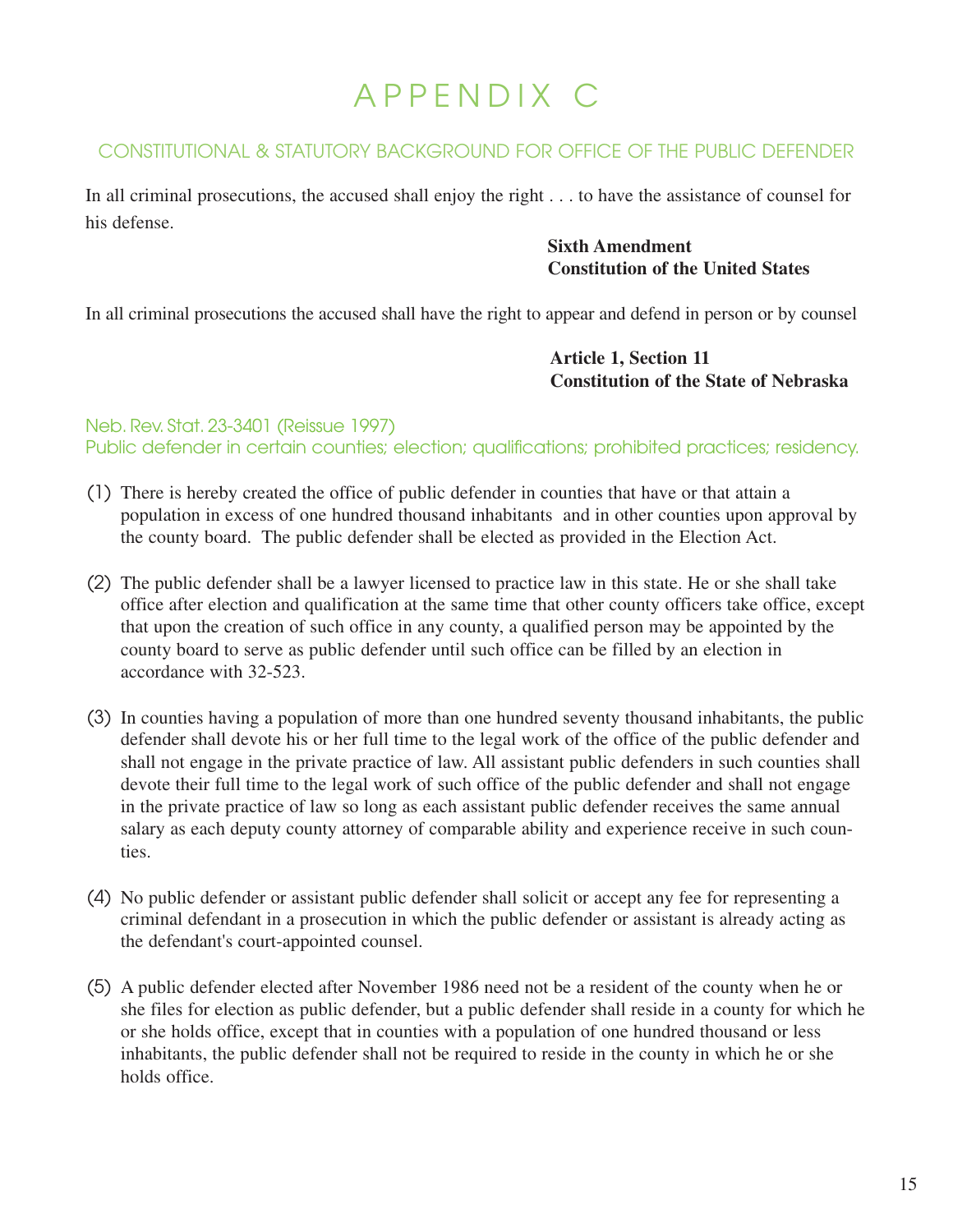# APPENDIX C

### CONSTITUTIONAL & STATUTORY BACKGROUND FOR OFFICE OF THE PUBLIC DEFENDER

In all criminal prosecutions, the accused shall enjoy the right . . . to have the assistance of counsel for his defense.

> **Sixth Amendment Constitution of the United States**

In all criminal prosecutions the accused shall have the right to appear and defend in person or by counsel

**Article 1, Section 11 Constitution of the State of Nebraska**

### Neb. Rev. Stat. 23-3401 (Reissue 1997) Public defender in certain counties; election; qualifications; prohibited practices; residency.

- (1) There is hereby created the office of public defender in counties that have or that attain a population in excess of one hundred thousand inhabitants and in other counties upon approval by the county board. The public defender shall be elected as provided in the Election Act.
- (2) The public defender shall be a lawyer licensed to practice law in this state. He or she shall take office after election and qualification at the same time that other county officers take office, except that upon the creation of such office in any county, a qualified person may be appointed by the county board to serve as public defender until such office can be filled by an election in accordance with 32-523.
- (3) In counties having a population of more than one hundred seventy thousand inhabitants, the public defender shall devote his or her full time to the legal work of the office of the public defender and shall not engage in the private practice of law. All assistant public defenders in such counties shall devote their full time to the legal work of such office of the public defender and shall not engage in the private practice of law so long as each assistant public defender receives the same annual salary as each deputy county attorney of comparable ability and experience receive in such counties.
- (4) No public defender or assistant public defender shall solicit or accept any fee for representing a criminal defendant in a prosecution in which the public defender or assistant is already acting as the defendant's court-appointed counsel.
- (5) A public defender elected after November 1986 need not be a resident of the county when he or she files for election as public defender, but a public defender shall reside in a county for which he or she holds office, except that in counties with a population of one hundred thousand or less inhabitants, the public defender shall not be required to reside in the county in which he or she holds office.